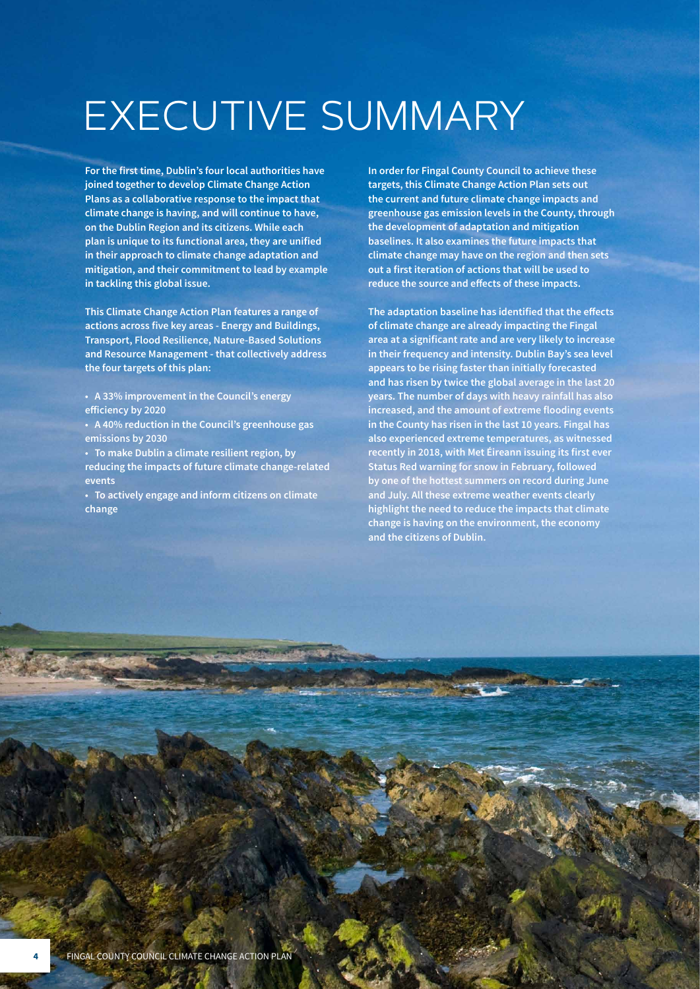# EXECUTIVE SUMMARY

**For the first time, Dublin's four local authorities have joined together to develop Climate Change Action Plans as a collaborative response to the impact that climate change is having, and will continue to have, on the Dublin Region and its citizens. While each plan is unique to its functional area, they are unified in their approach to climate change adaptation and mitigation, and their commitment to lead by example in tackling this global issue.**

**This Climate Change Action Plan features a range of actions across five key areas - Energy and Buildings, Transport, Flood Resilience, Nature-Based Solutions and Resource Management - that collectively address the four targets of this plan:**

- **• A 33% improvement in the Council's energy efficiency by 2020**
- **• A 40% reduction in the Council's greenhouse gas emissions by 2030**
- **• To make Dublin a climate resilient region, by reducing the impacts of future climate change-related events**
- **• To actively engage and inform citizens on climate change**

**In order for Fingal County Council to achieve these targets, this Climate Change Action Plan sets out the current and future climate change impacts and greenhouse gas emission levels in the County, through the development of adaptation and mitigation baselines. It also examines the future impacts that climate change may have on the region and then sets out a first iteration of actions that will be used to reduce the source and effects of these impacts.**

**The adaptation baseline has identified that the effects of climate change are already impacting the Fingal area at a significant rate and are very likely to increase in their frequency and intensity. Dublin Bay's sea level appears to be rising faster than initially forecasted and has risen by twice the global average in the last 20 years. The number of days with heavy rainfall has also increased, and the amount of extreme flooding events in the County has risen in the last 10 years. Fingal has also experienced extreme temperatures, as witnessed recently in 2018, with Met Éireann issuing its first ever Status Red warning for snow in February, followed by one of the hottest summers on record during June and July. All these extreme weather events clearly highlight the need to reduce the impacts that climate change is having on the environment, the economy and the citizens of Dublin.**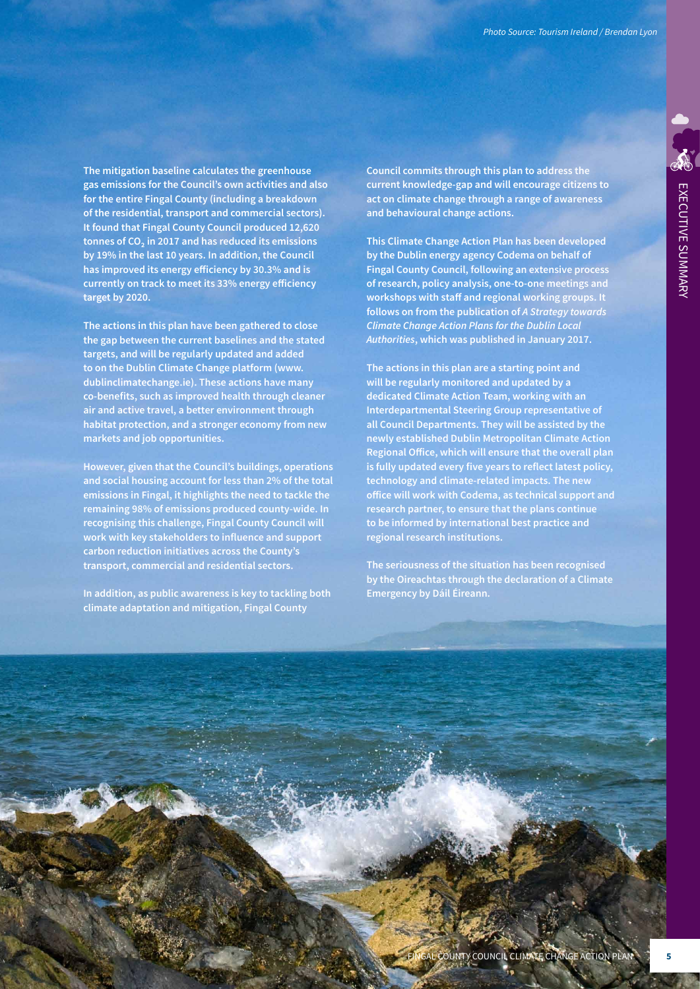**The mitigation baseline calculates the greenhouse gas emissions for the Council's own activities and also for the entire Fingal County (including a breakdown of the residential, transport and commercial sectors). It found that Fingal County Council produced 12,620 tonnes of CO₂ in 2017 and has reduced its emissions by 19% in the last 10 years. In addition, the Council has improved its energy efficiency by 30.3% and is currently on track to meet its 33% energy efficiency target by 2020.** 

**The actions in this plan have been gathered to close the gap between the current baselines and the stated targets, and will be regularly updated and added to on the Dublin Climate Change platform (www. dublinclimatechange.ie). These actions have many co-benefits, such as improved health through cleaner air and active travel, a better environment through habitat protection, and a stronger economy from new markets and job opportunities.** 

**However, given that the Council's buildings, operations and social housing account for less than 2% of the total emissions in Fingal, it highlights the need to tackle the remaining 98% of emissions produced county-wide. In recognising this challenge, Fingal County Council will work with key stakeholders to influence and support carbon reduction initiatives across the County's transport, commercial and residential sectors.**

**In addition, as public awareness is key to tackling both climate adaptation and mitigation, Fingal County**

**Council commits through this plan to address the current knowledge-gap and will encourage citizens to act on climate change through a range of awareness and behavioural change actions.**

**This Climate Change Action Plan has been developed by the Dublin energy agency Codema on behalf of Fingal County Council, following an extensive process of research, policy analysis, one-to-one meetings and workshops with staff and regional working groups. It follows on from the publication of** *A Strategy towards Climate Change Action Plans for the Dublin Local Authorities***, which was published in January 2017.**

**The actions in this plan are a starting point and will be regularly monitored and updated by a dedicated Climate Action Team, working with an Interdepartmental Steering Group representative of all Council Departments. They will be assisted by the newly established Dublin Metropolitan Climate Action Regional Office, which will ensure that the overall plan is fully updated every five years to reflect latest policy, technology and climate-related impacts. The new office will work with Codema, as technical support and research partner, to ensure that the plans continue to be informed by international best practice and regional research institutions.**

**The seriousness of the situation has been recognised by the Oireachtas through the declaration of a Climate Emergency by Dáil Éireann.**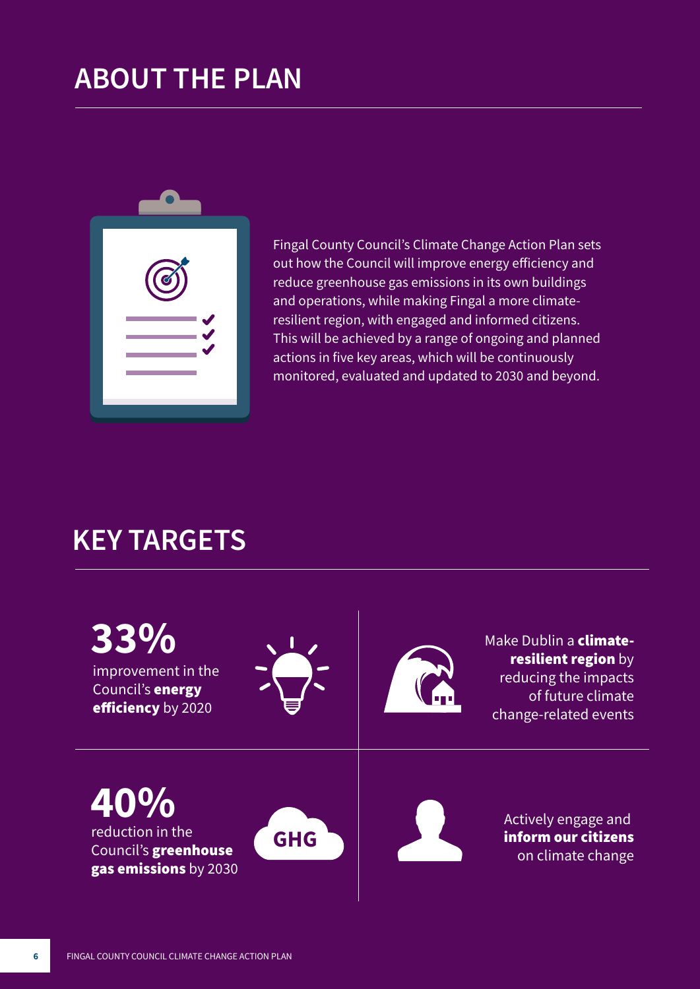## **ABOUT THE PLAN**



Fingal County Council's Climate Change Action Plan sets out how the Council will improve energy efficiency and reduce greenhouse gas emissions in its own buildings and operations, while making Fingal a more climateresilient region, with engaged and informed citizens. This will be achieved by a range of ongoing and planned actions in five key areas, which will be continuously monitored, evaluated and updated to 2030 and beyond.

#### **KEY TARGETS**